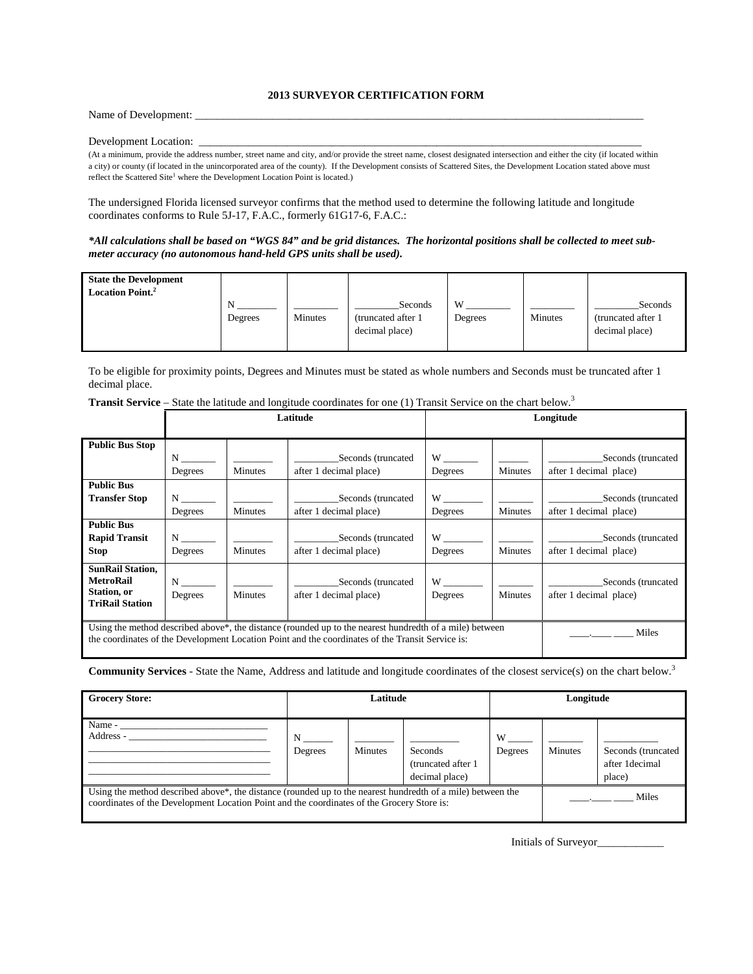## **2013 SURVEYOR CERTIFICATION FORM**

Name of Development: \_

## Development Location:

(At a minimum, provide the address number, street name and city, and/or provide the street name, closest designated intersection and either the city (if located within a city) or county (if located in the unincorporated area of the county). If the Development consists of Scattered Sites, the Development Location stated above must reflect the Scattered Site<sup>1</sup> where the Development Location Point is located.)

The undersigned Florida licensed surveyor confirms that the method used to determine the following latitude and longitude coordinates conforms to Rule 5J-17, F.A.C., formerly 61G17-6, F.A.C.:

*\*All calculations shall be based on "WGS 84" and be grid distances. The horizontal positions shall be collected to meet submeter accuracy (no autonomous hand-held GPS units shall be used).*

| <b>State the Development</b><br><b>Location Point.</b> <sup>2</sup> | N<br>Degrees | <b>Minutes</b> | Seconds<br>(truncated after 1)<br>decimal place) | W<br>Degrees | <b>Minutes</b> | Seconds<br>(truncated after 1)<br>decimal place) |
|---------------------------------------------------------------------|--------------|----------------|--------------------------------------------------|--------------|----------------|--------------------------------------------------|
|                                                                     |              |                |                                                  |              |                |                                                  |

To be eligible for proximity points, Degrees and Minutes must be stated as whole numbers and Seconds must be truncated after 1 decimal place.

| <b>Transit Service</b> – State the latitude and longitude coordinates for one (1) Transit Service on the chart below. <sup>3</sup> |  |  |  |
|------------------------------------------------------------------------------------------------------------------------------------|--|--|--|
|                                                                                                                                    |  |  |  |
|                                                                                                                                    |  |  |  |
|                                                                                                                                    |  |  |  |

|                                                                                                  | Latitude                                                                                                |                                                                                                                                                                                                                                      |                        | Longitude              |                          |                        |
|--------------------------------------------------------------------------------------------------|---------------------------------------------------------------------------------------------------------|--------------------------------------------------------------------------------------------------------------------------------------------------------------------------------------------------------------------------------------|------------------------|------------------------|--------------------------|------------------------|
| <b>Public Bus Stop</b>                                                                           |                                                                                                         |                                                                                                                                                                                                                                      |                        |                        |                          |                        |
|                                                                                                  | N                                                                                                       |                                                                                                                                                                                                                                      | Seconds (truncated     |                        |                          | Seconds (truncated     |
|                                                                                                  | Degrees                                                                                                 | <b>Minutes</b>                                                                                                                                                                                                                       | after 1 decimal place) | Degrees                | Minutes                  | after 1 decimal place) |
| <b>Public Bus</b>                                                                                |                                                                                                         |                                                                                                                                                                                                                                      |                        |                        |                          |                        |
| <b>Transfer Stop</b>                                                                             | $N_{\perp}$                                                                                             |                                                                                                                                                                                                                                      | Seconds (truncated     | W <sub>1</sub>         |                          | Seconds (truncated     |
|                                                                                                  | Degrees                                                                                                 | <b>Minutes</b>                                                                                                                                                                                                                       | after 1 decimal place) | Degrees                | Minutes                  | after 1 decimal place) |
| <b>Public Bus</b>                                                                                |                                                                                                         |                                                                                                                                                                                                                                      |                        |                        |                          |                        |
| <b>Rapid Transit</b>                                                                             | $N \sim$                                                                                                | <u>and the company of the company of the company of the company of the company of the company of the company of the company of the company of the company of the company of the company of the company of the company of the com</u> | Seconds (truncated     |                        | <b>Contract Contract</b> | Seconds (truncated     |
| <b>Stop</b>                                                                                      | Degrees                                                                                                 | <b>Minutes</b>                                                                                                                                                                                                                       | after 1 decimal place) | Degrees                | <b>Minutes</b>           | after 1 decimal place) |
| <b>SunRail Station,</b>                                                                          |                                                                                                         |                                                                                                                                                                                                                                      |                        |                        |                          |                        |
| <b>MetroRail</b>                                                                                 | $N \sim$                                                                                                | <b>Contract Contract</b>                                                                                                                                                                                                             | Seconds (truncated     | $W$ and $\overline{W}$ |                          | Seconds (truncated     |
| Station, or<br><b>TriRail Station</b>                                                            | Degrees                                                                                                 | <b>Minutes</b>                                                                                                                                                                                                                       | after 1 decimal place) | Degrees                | <b>Minutes</b>           | after 1 decimal place) |
|                                                                                                  |                                                                                                         |                                                                                                                                                                                                                                      |                        |                        |                          |                        |
|                                                                                                  | Using the method described above*, the distance (rounded up to the nearest hundredth of a mile) between |                                                                                                                                                                                                                                      |                        |                        |                          |                        |
| the coordinates of the Development Location Point and the coordinates of the Transit Service is: |                                                                                                         |                                                                                                                                                                                                                                      |                        |                        |                          | Miles                  |

**Community Services** - State the Name, Address and latitude and longitude coordinates of the closest service(s) on the chart below.3

| <b>Grocery Store:</b>                                                                                                                                                                                     | Latitude     |                | Longitude                                               |                |                |                                                |
|-----------------------------------------------------------------------------------------------------------------------------------------------------------------------------------------------------------|--------------|----------------|---------------------------------------------------------|----------------|----------------|------------------------------------------------|
| Name -<br>Address -                                                                                                                                                                                       | N<br>Degrees | <b>Minutes</b> | <b>Seconds</b><br>(truncated after 1)<br>decimal place) | W –<br>Degrees | <b>Minutes</b> | Seconds (truncated<br>after 1decimal<br>place) |
| Using the method described above*, the distance (rounded up to the nearest hundredth of a mile) between the<br>coordinates of the Development Location Point and the coordinates of the Grocery Store is: |              |                |                                                         |                |                | Miles                                          |

Initials of Surveyor\_\_\_\_\_\_\_\_\_\_\_\_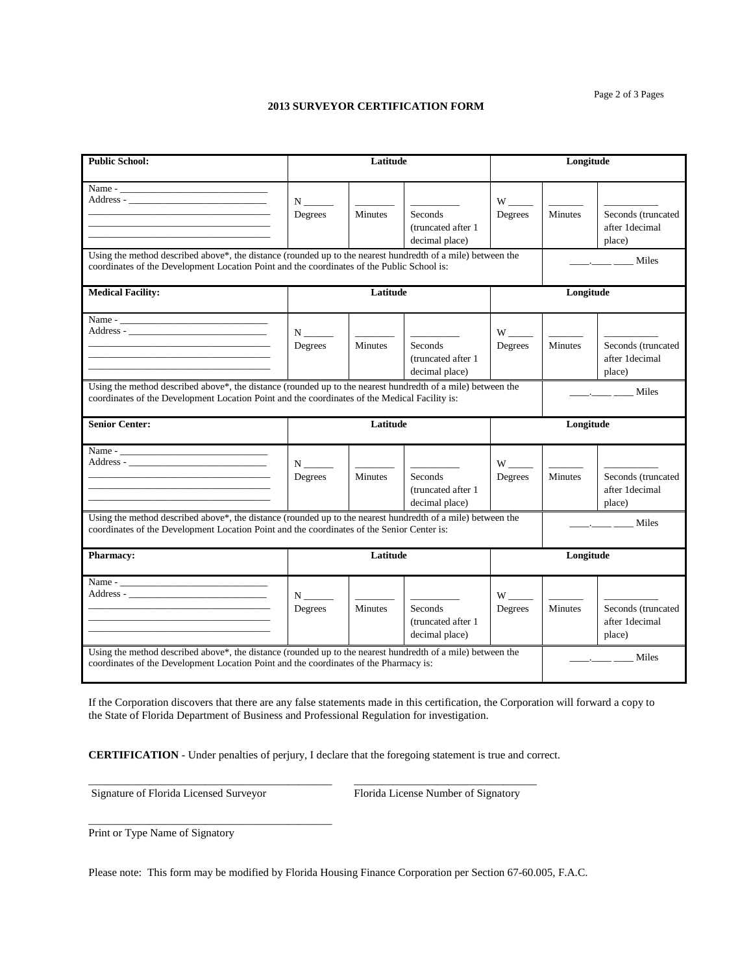Page 2 of 3 Pages

## **2013 SURVEYOR CERTIFICATION FORM**

| <b>Public School:</b>                                                                                                                                                                                     | Latitude                                                                                                                                                                                                     |                                                                                                                                                                                                                                                                                                                                                                                                                                  |                                                         | Longitude                       |                                                                                                                                                                                                                                                                                                                                                                                                                                                                                              |                                                                                                                                                                                                                                                                                                                                                                                                                                 |  |
|-----------------------------------------------------------------------------------------------------------------------------------------------------------------------------------------------------------|--------------------------------------------------------------------------------------------------------------------------------------------------------------------------------------------------------------|----------------------------------------------------------------------------------------------------------------------------------------------------------------------------------------------------------------------------------------------------------------------------------------------------------------------------------------------------------------------------------------------------------------------------------|---------------------------------------------------------|---------------------------------|----------------------------------------------------------------------------------------------------------------------------------------------------------------------------------------------------------------------------------------------------------------------------------------------------------------------------------------------------------------------------------------------------------------------------------------------------------------------------------------------|---------------------------------------------------------------------------------------------------------------------------------------------------------------------------------------------------------------------------------------------------------------------------------------------------------------------------------------------------------------------------------------------------------------------------------|--|
|                                                                                                                                                                                                           | Degrees                                                                                                                                                                                                      | Minutes                                                                                                                                                                                                                                                                                                                                                                                                                          | Seconds<br>(truncated after 1)<br>decimal place)        | Degrees                         | <b>Minutes</b>                                                                                                                                                                                                                                                                                                                                                                                                                                                                               | Seconds (truncated<br>after 1decimal<br>place)                                                                                                                                                                                                                                                                                                                                                                                  |  |
| Using the method described above*, the distance (rounded up to the nearest hundredth of a mile) between the<br>coordinates of the Development Location Point and the coordinates of the Public School is: |                                                                                                                                                                                                              |                                                                                                                                                                                                                                                                                                                                                                                                                                  |                                                         |                                 | $\frac{1}{\sqrt{1-\frac{1}{2}}}\frac{1}{\sqrt{1-\frac{1}{2}}}\frac{1}{\sqrt{1-\frac{1}{2}}}\frac{1}{\sqrt{1-\frac{1}{2}}}\frac{1}{\sqrt{1-\frac{1}{2}}}\frac{1}{\sqrt{1-\frac{1}{2}}}\frac{1}{\sqrt{1-\frac{1}{2}}}\frac{1}{\sqrt{1-\frac{1}{2}}}\frac{1}{\sqrt{1-\frac{1}{2}}}\frac{1}{\sqrt{1-\frac{1}{2}}}\frac{1}{\sqrt{1-\frac{1}{2}}}\frac{1}{\sqrt{1-\frac{1}{2}}}\frac{1}{\sqrt{1-\frac{1}{2}}}\frac{1}{\sqrt{1-\frac{$                                                              |                                                                                                                                                                                                                                                                                                                                                                                                                                 |  |
| <b>Medical Facility:</b>                                                                                                                                                                                  |                                                                                                                                                                                                              | Latitude                                                                                                                                                                                                                                                                                                                                                                                                                         |                                                         |                                 | Longitude                                                                                                                                                                                                                                                                                                                                                                                                                                                                                    |                                                                                                                                                                                                                                                                                                                                                                                                                                 |  |
|                                                                                                                                                                                                           | ${\bf N}$ _________<br>Degrees                                                                                                                                                                               | <b>Minutes</b>                                                                                                                                                                                                                                                                                                                                                                                                                   | Seconds<br>(truncated after 1)<br>decimal place)        | $W$ <sub>_____</sub><br>Degrees | <b>Minutes</b>                                                                                                                                                                                                                                                                                                                                                                                                                                                                               | Seconds (truncated<br>after 1decimal<br>place)                                                                                                                                                                                                                                                                                                                                                                                  |  |
|                                                                                                                                                                                                           | Using the method described above*, the distance (rounded up to the nearest hundredth of a mile) between the<br>coordinates of the Development Location Point and the coordinates of the Medical Facility is: |                                                                                                                                                                                                                                                                                                                                                                                                                                  |                                                         |                                 |                                                                                                                                                                                                                                                                                                                                                                                                                                                                                              | $\frac{1}{\sqrt{1-\frac{1}{2}}}\frac{1}{\sqrt{1-\frac{1}{2}}}\frac{1}{\sqrt{1-\frac{1}{2}}}\frac{1}{\sqrt{1-\frac{1}{2}}}\frac{1}{\sqrt{1-\frac{1}{2}}}\frac{1}{\sqrt{1-\frac{1}{2}}}\frac{1}{\sqrt{1-\frac{1}{2}}}\frac{1}{\sqrt{1-\frac{1}{2}}}\frac{1}{\sqrt{1-\frac{1}{2}}}\frac{1}{\sqrt{1-\frac{1}{2}}}\frac{1}{\sqrt{1-\frac{1}{2}}}\frac{1}{\sqrt{1-\frac{1}{2}}}\frac{1}{\sqrt{1-\frac{1}{2}}}\frac{1}{\sqrt{1-\frac{$ |  |
| <b>Senior Center:</b>                                                                                                                                                                                     |                                                                                                                                                                                                              | Latitude                                                                                                                                                                                                                                                                                                                                                                                                                         |                                                         |                                 | Longitude                                                                                                                                                                                                                                                                                                                                                                                                                                                                                    |                                                                                                                                                                                                                                                                                                                                                                                                                                 |  |
|                                                                                                                                                                                                           | Degrees                                                                                                                                                                                                      | $\frac{1}{1-\frac{1}{1-\frac{1}{1-\frac{1}{1-\frac{1}{1-\frac{1}{1-\frac{1}{1-\frac{1}{1-\frac{1}{1-\frac{1}{1-\frac{1}{1-\frac{1}{1-\frac{1}{1-\frac{1}{1-\frac{1}{1-\frac{1}{1-\frac{1}{1-\frac{1}{1-\frac{1}{1-\frac{1}{1-\frac{1}{1-\frac{1}{1-\frac{1}{1-\frac{1}{1-\frac{1}{1-\frac{1}{1-\frac{1}{1-\frac{1}{1-\frac{1}{1-\frac{1}{1-\frac{1}{1-\frac{1}{1-\frac{1}{1-\frac{1}{1-\frac{1}{1-\frac{1}{1-\frac{1$<br>Minutes | <b>Seconds</b><br>(truncated after 1)<br>decimal place) | $W$ <sub>_____</sub><br>Degrees | $\frac{1}{2} \left( \frac{1}{2} \right) \left( \frac{1}{2} \right) \left( \frac{1}{2} \right) \left( \frac{1}{2} \right) \left( \frac{1}{2} \right) \left( \frac{1}{2} \right) \left( \frac{1}{2} \right) \left( \frac{1}{2} \right) \left( \frac{1}{2} \right) \left( \frac{1}{2} \right) \left( \frac{1}{2} \right) \left( \frac{1}{2} \right) \left( \frac{1}{2} \right) \left( \frac{1}{2} \right) \left( \frac{1}{2} \right) \left( \frac{1}{2} \right) \left( \frac$<br><b>Minutes</b> | Seconds (truncated<br>after 1decimal<br>place)                                                                                                                                                                                                                                                                                                                                                                                  |  |
| Using the method described above*, the distance (rounded up to the nearest hundredth of a mile) between the<br>coordinates of the Development Location Point and the coordinates of the Senior Center is: |                                                                                                                                                                                                              |                                                                                                                                                                                                                                                                                                                                                                                                                                  |                                                         |                                 |                                                                                                                                                                                                                                                                                                                                                                                                                                                                                              | Miles<br>and the company of the                                                                                                                                                                                                                                                                                                                                                                                                 |  |
| <b>Pharmacy:</b>                                                                                                                                                                                          | Latitude                                                                                                                                                                                                     |                                                                                                                                                                                                                                                                                                                                                                                                                                  |                                                         |                                 | Longitude                                                                                                                                                                                                                                                                                                                                                                                                                                                                                    |                                                                                                                                                                                                                                                                                                                                                                                                                                 |  |
| Using the method described above*, the distance (rounded up to the nearest hundredth of a mile) between the                                                                                               | ${\bf N}$ ________<br>Degrees                                                                                                                                                                                | $\frac{1}{2}$<br>Minutes                                                                                                                                                                                                                                                                                                                                                                                                         | <b>Seconds</b><br>(truncated after 1)<br>decimal place) | Degrees                         | Minutes                                                                                                                                                                                                                                                                                                                                                                                                                                                                                      | Seconds (truncated<br>after 1decimal<br>place)                                                                                                                                                                                                                                                                                                                                                                                  |  |
| coordinates of the Development Location Point and the coordinates of the Pharmacy is:                                                                                                                     |                                                                                                                                                                                                              |                                                                                                                                                                                                                                                                                                                                                                                                                                  |                                                         |                                 | $\frac{1}{\sqrt{1-\frac{1}{2}}\cdot\frac{1}{\sqrt{1-\frac{1}{2}}}}$ Miles                                                                                                                                                                                                                                                                                                                                                                                                                    |                                                                                                                                                                                                                                                                                                                                                                                                                                 |  |

If the Corporation discovers that there are any false statements made in this certification, the Corporation will forward a copy to the State of Florida Department of Business and Professional Regulation for investigation.

**CERTIFICATION** - Under penalties of perjury, I declare that the foregoing statement is true and correct.

\_\_\_\_\_\_\_\_\_\_\_\_\_\_\_\_\_\_\_\_\_\_\_\_\_\_\_\_\_\_\_\_\_\_\_\_\_\_\_\_\_\_\_\_ \_\_\_\_\_\_\_\_\_\_\_\_\_\_\_\_\_\_\_\_\_\_\_\_\_\_\_\_\_\_\_\_\_

Signature of Florida Licensed Surveyor Florida License Number of Signatory

\_\_\_\_\_\_\_\_\_\_\_\_\_\_\_\_\_\_\_\_\_\_\_\_\_\_\_\_\_\_\_\_\_\_\_\_\_\_\_\_\_\_\_\_

Print or Type Name of Signatory

Please note: This form may be modified by Florida Housing Finance Corporation per Section 67-60.005, F.A.C.